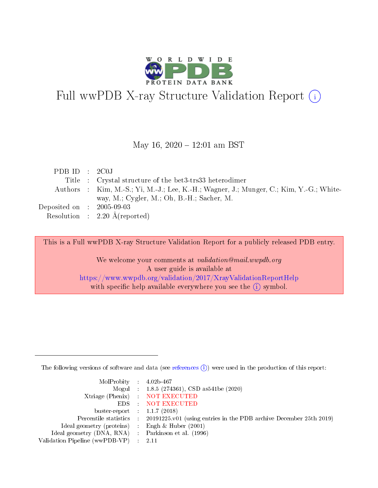

# Full wwPDB X-ray Structure Validation Report (i)

#### May 16,  $2020 - 12:01$  am BST

| PDBID : 2COJ                   |                                                                                         |
|--------------------------------|-----------------------------------------------------------------------------------------|
|                                | Title : Crystal structure of the bet3-trs33 heterodimer                                 |
|                                | Authors : Kim, M.-S.; Yi, M.-J.; Lee, K.-H.; Wagner, J.; Munger, C.; Kim, Y.-G.; White- |
|                                | way, M.; Cygler, M.; Oh, B.-H.; Sacher, M.                                              |
| Deposited on $\,$ : 2005-09-03 |                                                                                         |
|                                | Resolution : $2.20 \text{ Å}$ (reported)                                                |

This is a Full wwPDB X-ray Structure Validation Report for a publicly released PDB entry.

We welcome your comments at validation@mail.wwpdb.org A user guide is available at <https://www.wwpdb.org/validation/2017/XrayValidationReportHelp> with specific help available everywhere you see the  $(i)$  symbol.

The following versions of software and data (see [references](https://www.wwpdb.org/validation/2017/XrayValidationReportHelp#references)  $(i)$ ) were used in the production of this report:

| MolProbity : $4.02b-467$       |                                                                                            |
|--------------------------------|--------------------------------------------------------------------------------------------|
|                                | Mogul : 1.8.5 (274361), CSD as 541be (2020)                                                |
|                                | Xtriage (Phenix) NOT EXECUTED                                                              |
|                                | EDS : NOT EXECUTED                                                                         |
| buster-report : $1.1.7(2018)$  |                                                                                            |
|                                | Percentile statistics : 20191225.v01 (using entries in the PDB archive December 25th 2019) |
| Ideal geometry (proteins) :    | Engh & Huber $(2001)$                                                                      |
| Ideal geometry (DNA, RNA) :    | Parkinson et al. (1996)                                                                    |
| Validation Pipeline (wwPDB-VP) | -2.11                                                                                      |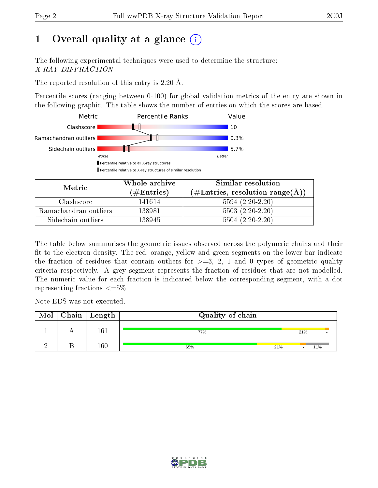# 1 [O](https://www.wwpdb.org/validation/2017/XrayValidationReportHelp#overall_quality)verall quality at a glance  $(i)$

The following experimental techniques were used to determine the structure: X-RAY DIFFRACTION

The reported resolution of this entry is 2.20 Å.

Percentile scores (ranging between 0-100) for global validation metrics of the entry are shown in the following graphic. The table shows the number of entries on which the scores are based.



| Metric                | Whole archive<br>(# $\rm{Entries}$ ) | Similar resolution<br>$(\#\text{Entries}, \text{resolution range}(\text{\AA}))$ |
|-----------------------|--------------------------------------|---------------------------------------------------------------------------------|
| Clashscore            | 141614                               | $5594(2.20-2.20)$                                                               |
| Ramachandran outliers | 138981                               | $5503(2.20-2.20)$                                                               |
| Sidechain outliers    | 138945                               | $5504(2.20-2.20)$                                                               |

The table below summarises the geometric issues observed across the polymeric chains and their fit to the electron density. The red, orange, yellow and green segments on the lower bar indicate the fraction of residues that contain outliers for  $\geq=3$ , 2, 1 and 0 types of geometric quality criteria respectively. A grey segment represents the fraction of residues that are not modelled. The numeric value for each fraction is indicated below the corresponding segment, with a dot representing fractions  $\leq=5\%$ 

Note EDS was not executed.

| Mol | $\Gamma$ Chain $\mid$ Length | Quality of chain |     |     |     |  |  |
|-----|------------------------------|------------------|-----|-----|-----|--|--|
|     | 161                          | 77%              |     | 21% |     |  |  |
|     | $160\,$                      | 65%              | 21% |     | 11% |  |  |

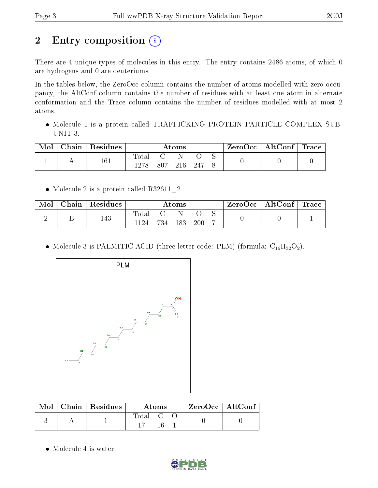# 2 Entry composition (i)

There are 4 unique types of molecules in this entry. The entry contains 2486 atoms, of which 0 are hydrogens and 0 are deuteriums.

In the tables below, the ZeroOcc column contains the number of atoms modelled with zero occupancy, the AltConf column contains the number of residues with at least one atom in alternate conformation and the Trace column contains the number of residues modelled with at most 2 atoms.

 Molecule 1 is a protein called TRAFFICKING PROTEIN PARTICLE COMPLEX SUB-UNIT 3.

| Mol | $\cap$ hain $\perp$ | $\,$ Residues | $\rm{Atoms}$        |     |     | ZeroOcc   AltConf   Trace |  |  |  |
|-----|---------------------|---------------|---------------------|-----|-----|---------------------------|--|--|--|
|     |                     | 161           | $\rm Total$<br>1278 | 807 | 216 | -247                      |  |  |  |

• Molecule 2 is a protein called R32611 2.

| Mol | Chain $\sqrt{\text{Residues}}$ | Atoms                  |     |     | ZeroOcc   AltConf   Trace |  |  |  |
|-----|--------------------------------|------------------------|-----|-----|---------------------------|--|--|--|
|     | 143                            | $_{\rm Total}$<br>1124 | 734 | 183 | <b>200</b>                |  |  |  |

• Molecule 3 is PALMITIC ACID (three-letter code: PLM) (formula:  $C_{16}H_{32}O_2$ ).



|  | $\parallel$ Mol $\parallel$ Chain $\parallel$ Residues $\perp$ | Atoms   |  | $\mid$ ZeroOcc $\mid$ AltConf $\mid$ |  |  |
|--|----------------------------------------------------------------|---------|--|--------------------------------------|--|--|
|  |                                                                | Total C |  |                                      |  |  |

• Molecule 4 is water.

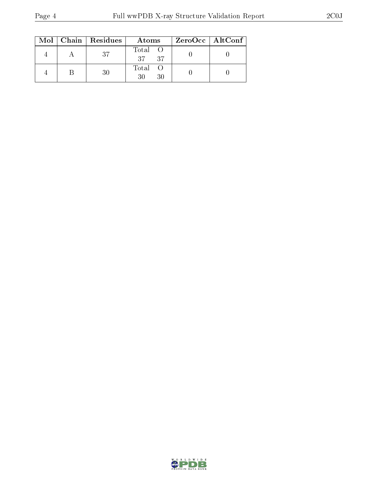|  | $\text{Mol}$   Chain   Residues | Atoms            | ZeroOcc   AltConf |
|--|---------------------------------|------------------|-------------------|
|  | 37                              | Total O<br>37 37 |                   |
|  | 30                              | Total O          |                   |

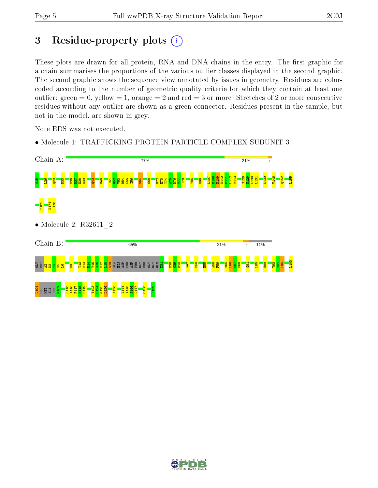### 3 Residue-property plots  $(i)$

These plots are drawn for all protein, RNA and DNA chains in the entry. The first graphic for a chain summarises the proportions of the various outlier classes displayed in the second graphic. The second graphic shows the sequence view annotated by issues in geometry. Residues are colorcoded according to the number of geometric quality criteria for which they contain at least one outlier: green  $= 0$ , yellow  $= 1$ , orange  $= 2$  and red  $= 3$  or more. Stretches of 2 or more consecutive residues without any outlier are shown as a green connector. Residues present in the sample, but not in the model, are shown in grey.

Note EDS was not executed.

• Molecule 1: TRAFFICKING PROTEIN PARTICLE COMPLEX SUBUNIT 3



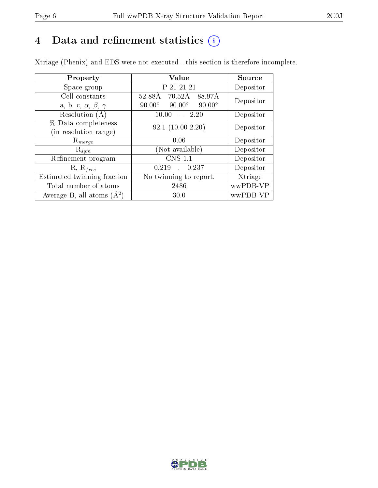# 4 Data and refinement statistics  $(i)$

Xtriage (Phenix) and EDS were not executed - this section is therefore incomplete.

| Property                               | Value                                           | Source    |  |
|----------------------------------------|-------------------------------------------------|-----------|--|
| Space group                            | P 21 21 21                                      | Depositor |  |
| Cell constants                         | 70.52Å<br>88.97Å<br>52.88Å                      | Depositor |  |
| a, b, c, $\alpha$ , $\beta$ , $\gamma$ | $90.00^\circ$<br>$90.00^\circ$<br>$90.00^\circ$ |           |  |
| Resolution $(A)$                       | 10.00<br>$-2.20$                                | Depositor |  |
| % Data completeness                    | $92.1(10.00-2.20)$                              | Depositor |  |
| (in resolution range)                  |                                                 |           |  |
| $\mathrm{R}_{merge}$                   | 0.06                                            | Depositor |  |
| $\mathrm{R}_{sym}$                     | (Not available)                                 | Depositor |  |
| Refinement program                     | <b>CNS 1.1</b>                                  | Depositor |  |
| $R, R_{free}$                          | 0.237<br>0.219<br>$\mathbf{A}$                  | Depositor |  |
| Estimated twinning fraction            | No twinning to report.                          | Xtriage   |  |
| Total number of atoms                  | 2486                                            | wwPDB-VP  |  |
| Average B, all atoms $(A^2)$           | 30.0                                            | wwPDB-VP  |  |

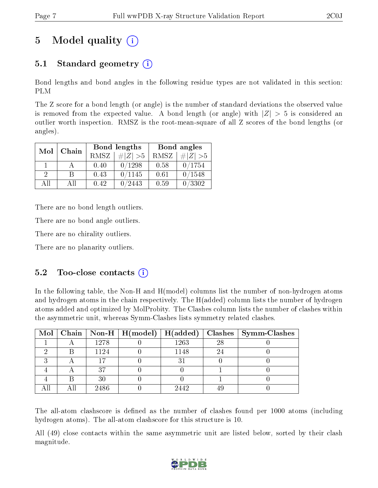# 5 Model quality  $(i)$

### 5.1 Standard geometry  $(i)$

Bond lengths and bond angles in the following residue types are not validated in this section: PLM

The Z score for a bond length (or angle) is the number of standard deviations the observed value is removed from the expected value. A bond length (or angle) with  $|Z| > 5$  is considered an outlier worth inspection. RMSZ is the root-mean-square of all Z scores of the bond lengths (or angles).

| Mol      | Chain |      | Bond lengths | Bond angles |             |  |
|----------|-------|------|--------------|-------------|-------------|--|
|          |       | RMSZ | $\# Z  > 5$  | RMSZ        | $\# Z  > 5$ |  |
|          |       | 0.40 | 0/1298       | 0.58        | 0/1754      |  |
| $\Omega$ | R     | 0.43 | 0/1145       | 0.61        | 0/1548      |  |
| ΔH       | All   | 0.42 | 0/2443       | 0.59        | 0/3302      |  |

There are no bond length outliers.

There are no bond angle outliers.

There are no chirality outliers.

There are no planarity outliers.

#### $5.2$  Too-close contacts  $(i)$

In the following table, the Non-H and H(model) columns list the number of non-hydrogen atoms and hydrogen atoms in the chain respectively. The H(added) column lists the number of hydrogen atoms added and optimized by MolProbity. The Clashes column lists the number of clashes within the asymmetric unit, whereas Symm-Clashes lists symmetry related clashes.

|   |      |      |    | Mol   Chain   Non-H   H(model)   H(added)   Clashes   Symm-Clashes |
|---|------|------|----|--------------------------------------------------------------------|
|   | 1278 | 1263 | 28 |                                                                    |
|   | 1124 | 1148 |    |                                                                    |
| ച |      |      |    |                                                                    |
|   | 27   |      |    |                                                                    |
|   | 30   |      |    |                                                                    |
|   | 2486 | 2442 |    |                                                                    |

The all-atom clashscore is defined as the number of clashes found per 1000 atoms (including hydrogen atoms). The all-atom clashscore for this structure is 10.

All (49) close contacts within the same asymmetric unit are listed below, sorted by their clash magnitude.

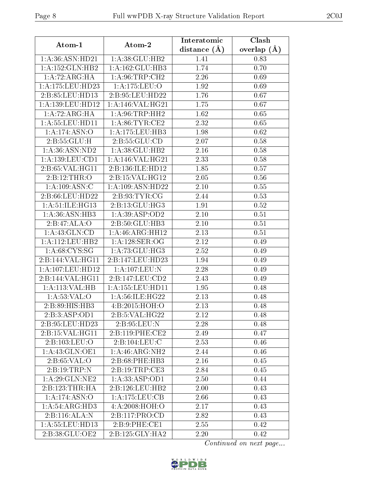| Atom-1                     | Atom-2               | Interatomic    | Clash             |
|----------------------------|----------------------|----------------|-------------------|
|                            |                      | distance $(A)$ | overlap $(A)$     |
| 1:A:36:ASN:HD21            | 1: A:38: GLU:HB2     | 1.41           | 0.83              |
| 1:A:152:GLN:HB2            | 1:A:162:GLU:HB3      | 1.74           | 0.70              |
| 1: A:72: ARG: HA           | 1: A:96:TRP:CH2      | 2.26           | 0.69              |
| 1:A:175:LEU:HD23           | 1:A:175:LEU:O        | 1.92           | 0.69              |
| 2:B:85:LEU:HD13            | 2:B:95:LEU:HD22      | 1.76           | 0.67              |
| 1:A:139:LEU:HD12           | 1: A:146: VAL:HG21   | 1.75           | 0.67              |
| 1:A:72:ARG:HA              | 1: A:96:TRP:HH2      | 1.62           | 0.65              |
| 1:A:55:LEU:HD11            | 1: A:86: TYR: CE2    | 2.32           | 0.65              |
| 1:A:174:ASN:O              | 1:A:175:LEU:HB3      | 1.98           | 0.62              |
| 2:B:55:GLU:H               | 2:B:55:GLU:CD        | 2.07           | 0.58              |
| 1: A:36: ASN:ND2           | 1: A:38: GLU:HB2     | 2.16           | 0.58              |
| 1:A:139:LEU:CD1            | 1:A:146:VAL:HG21     | 2.33           | 0.58              |
| 2:B:65:VAL:HG11            | 2:B:136:ILE:HD12     | 1.85           | 0.57              |
| 2:B:12:THR:O               | 2: B: 15: VAL:HG12   | 2.05           | 0.56              |
| 1:A:109:ASN:C              | 1:A:109:ASN:HD22     | 2.10           | 0.55              |
| 2:B:66:LEU:HD22            | 2: B: 93: TYR: CG    | 2.44           | 0.53              |
| 1:A:51:ILE:HG13            | 2:B:13:GLU:HG3       | 1.91           | $\overline{0.52}$ |
| 1:A:36:ASN:HB3             | 1: A:39: ASP:OD2     | 2.10           | 0.51              |
| 2:B:47:ALA:O               | 2:B:50:GLU:HB3       | 2.10           | 0.51              |
| 1:A:43:GLN:CD              | 1: A:46: ARG:HH12    | 2.13           | 0.51              |
| 1: A:112: LEU: HB2         | 1:A:128:SER:OG       | 2.12           | 0.49              |
| 1: A:68: CYS:SG            | 1:A:73:GLU:HG3       | 2.52           | 0.49              |
| 2:B:144:VAL:HG11           | 2:B:147:LEU:HD23     | 1.94           | 0.49              |
| 1: A: 107: LEU: HD12       | 1:A:107:LEU:N        | 2.28           | 0.49              |
| 2:B:144:VAL:HG11           | 2:Bi:147:LEU:CD2     | 2.43           | 0.49              |
| 1:A:113:VAL:HB             | 1: A: 155: LEU: HD11 | 1.95           | 0.48              |
| 1: A:53:VAL:O              | 1:A:56:ILE:HG22      | 2.13           | 0.48              |
| 2:B:89:HIS:HB3             | 4:B:2015:HOH:O       | 2.13           | 0.48              |
| 2:B:3:ASP:OD1              | 2:B:5:VAL:HG22       | 2.12           | 0.48              |
| 2:B:95:LEU:HD23            | 2:B:95:LEU:N         | 2.28           | 0.48              |
| 2: B: 15: VAL:HGI1         | 2:B:119:PHE:CE2      | 2.49           | 0.47              |
| 2:B:103:LEU:O              | 2: B: 104: LEU: C    | 2.53           | 0.46              |
| 1:A:43:GLN:OE1             | 1: A:46: ARG: NH2    | 2.44           | 0.46              |
| 2: B:65:VAL:O              | 2:B:68:PHE:HB3       | 2.16           | 0.45              |
| 2: B: 19: TRP:N            | 2: B: 19: TRP: CE3   | 2.84           | 0.45              |
| 1: A:29: GLN:NE2           | 1:A:33:ASP:OD1       | 2.50           | 0.44              |
| 2:B:123:THR:HA             | 2:B:126:LEU:HB2      | 2.00           | 0.43              |
| $1:A:174:A\overline{SN:O}$ | 1:A:175:LEU:CB       | 2.66           | 0.43              |
| 1: A:54: ARG:HD3           | 4:A:2008:HOH:O       | 2.17           | 0.43              |
| 2:B:116:ALA:N              | 2:Bi:117:PRO:CD      | 2.82           | 0.43              |
| 1:A:55:LEU:HD13            | 2:B:9:PHE:CE1        | 2.55           | 0.42              |
| 2:B:38:GLU:OE2             | 2:B:125:GLY:HA2      | 2.20           | 0.42              |

Continued on next page...

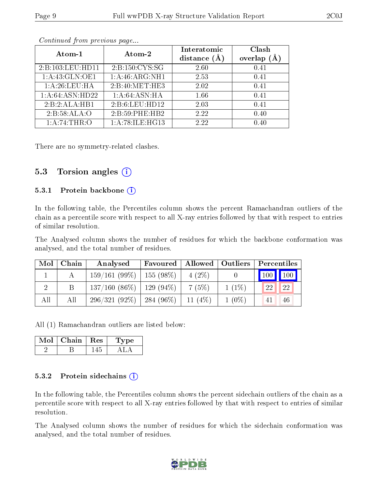| Atom-1           | Atom-2          | Interatomic<br>distance $(A)$ | Clash<br>overlap |
|------------------|-----------------|-------------------------------|------------------|
| 2:B:103:LEU:HD11 | 2:B:150:CYS:SG  | 2.60                          | 0.41             |
| 1:A:43:GLN:OE1   | 1:A:46:ARG:NH1  | 2.53                          | 0.41             |
| 1: A:26:LEU:HA   | 2:B:40:MET:HE3  | 2.02                          | 0.41             |
| 1:A:64:ASN:HD22  | 1: A:64: ASN:HA | 1.66                          | 0.41             |
| 2:B:2:ALA:HB1    | 2:B:6:LEU:HD12  | 2.03                          | 0.41             |
| 2:B:58:ALA:O     | 2:B:59:PHE:HB2  | 2.22                          | 0.40             |
| 1: A:74:THR:O    | 1:A:78:ILE:HG13 | 2.22                          | 0.40             |

Continued from previous page...

There are no symmetry-related clashes.

#### 5.3 Torsion angles (i)

#### 5.3.1 Protein backbone  $(i)$

In the following table, the Percentiles column shows the percent Ramachandran outliers of the chain as a percentile score with respect to all X-ray entries followed by that with respect to entries of similar resolution.

The Analysed column shows the number of residues for which the backbone conformation was analysed, and the total number of residues.

| Mol | Chain | Analysed                      | Favoured |            | $\mid$ Allowed $\mid$ Outliers | Percentiles     |    |
|-----|-------|-------------------------------|----------|------------|--------------------------------|-----------------|----|
|     |       | $159/161(99\%)$   155 (98\%)  |          | $4(2\%)$   |                                | $100$   $100$   |    |
|     |       | $137/160$ (86\%)   129 (94\%) |          | 7(5%)      | $1(1\%)$                       | 22 <sub>1</sub> | 22 |
| All | All   | $296/321(92\%)$   284 (96\%)  |          | 11 $(4\%)$ | $1(0\%)$                       | 41              | 46 |

All (1) Ramachandran outliers are listed below:

| Mol | Chain : | Res | $\mathbf{p}$ |  |
|-----|---------|-----|--------------|--|
|     |         |     |              |  |

#### 5.3.2 Protein sidechains  $\left( \widehat{\mathbf{i}} \right)$

In the following table, the Percentiles column shows the percent sidechain outliers of the chain as a percentile score with respect to all X-ray entries followed by that with respect to entries of similar resolution.

The Analysed column shows the number of residues for which the sidechain conformation was analysed, and the total number of residues.

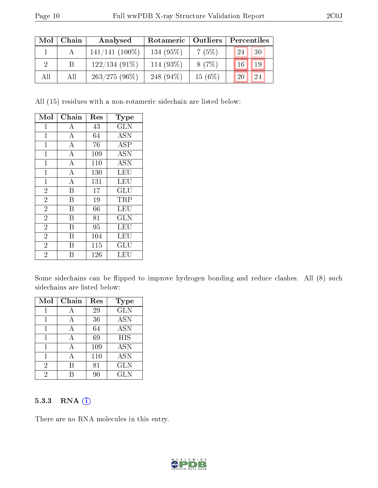| Mol | Chain | Analysed          | Outliers<br>Rotameric |           | Percentiles  |  |  |
|-----|-------|-------------------|-----------------------|-----------|--------------|--|--|
|     |       | $141/141$ (100\%) | 134 (95%)             | 7(5%)     | 30<br>24     |  |  |
|     | В     | $122/134(91\%)$   | 114 (93%)             | 8(7%)     | 19<br>$16^+$ |  |  |
| All | All   | $263/275(96\%)$   | 248 $(94\%)$          | $15(6\%)$ | 20<br>24     |  |  |

All (15) residues with a non-rotameric sidechain are listed below:

| Mol            | Chain              | Res | Type                 |
|----------------|--------------------|-----|----------------------|
| $\mathbf{1}$   | А                  | 43  | <b>GLN</b>           |
| $\mathbf{1}$   | $\bf{A}$           | 64  | <b>ASN</b>           |
| $\mathbf{1}$   | $\overline{\rm A}$ | 76  | <b>ASP</b>           |
| $\mathbf{1}$   | A                  | 109 | <b>ASN</b>           |
| $\mathbf{1}$   | $\boldsymbol{A}$   | 110 | <b>ASN</b>           |
| $\overline{1}$ | $\overline{\rm A}$ | 130 | LEU                  |
| $\mathbf{1}$   | A                  | 131 | LEU                  |
| $\overline{2}$ | B                  | 17  | GLU                  |
| $\overline{2}$ | B                  | 19  | TRP                  |
| $\overline{2}$ | Β                  | 66  | <b>LEU</b>           |
| $\overline{2}$ | Β                  | 81  | <b>GLN</b>           |
| $\overline{2}$ | B                  | 95  | LEU                  |
| $\overline{2}$ | Β                  | 104 | LEU                  |
| $\overline{2}$ | В                  | 115 | $\operatorname{GLU}$ |
| $\overline{2}$ | В                  | 126 | LEU                  |

Some sidechains can be flipped to improve hydrogen bonding and reduce clashes. All (8) such sidechains are listed below:

| Mol            | Chain | Res | Type       |
|----------------|-------|-----|------------|
|                |       | 29  | <b>GLN</b> |
|                |       | 36  | <b>ASN</b> |
|                |       | 64  | <b>ASN</b> |
| 1              | A     | 69  | <b>HIS</b> |
| 1              | А     | 109 | <b>ASN</b> |
|                |       | 110 | <b>ASN</b> |
| $\overline{2}$ | В     | 81  | <b>GLN</b> |
| 2              |       | 90  | <b>GLN</b> |

#### 5.3.3 RNA (1)

There are no RNA molecules in this entry.

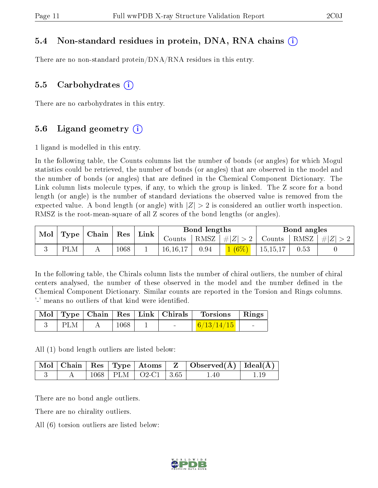#### 5.4 Non-standard residues in protein, DNA, RNA chains (i)

There are no non-standard protein/DNA/RNA residues in this entry.

#### 5.5 Carbohydrates  $(i)$

There are no carbohydrates in this entry.

#### 5.6 Ligand geometry  $(i)$

1 ligand is modelled in this entry.

In the following table, the Counts columns list the number of bonds (or angles) for which Mogul statistics could be retrieved, the number of bonds (or angles) that are observed in the model and the number of bonds (or angles) that are dened in the Chemical Component Dictionary. The Link column lists molecule types, if any, to which the group is linked. The Z score for a bond length (or angle) is the number of standard deviations the observed value is removed from the expected value. A bond length (or angle) with  $|Z| > 2$  is considered an outlier worth inspection. RMSZ is the root-mean-square of all Z scores of the bond lengths (or angles).

|                                                            |  |      | <b>Bond lengths</b><br>$\perp$ Link |            |                                        |                                                      | Bond angles |      |  |
|------------------------------------------------------------|--|------|-------------------------------------|------------|----------------------------------------|------------------------------------------------------|-------------|------|--|
| $\vert$ Mol $\vert$ Type $\vert$ Chain $\vert$ Res $\vert$ |  |      |                                     |            | Counts   RMSZ $\vert \#  Z  > 2 \vert$ | $\vert$ Counts $\vert$ RMSZ $\vert \# \vert Z \vert$ |             |      |  |
| PLM                                                        |  | 1068 |                                     | 16, 16, 17 | 0.94                                   | $1(6\%)$                                             | 15, 15, 17  | 0.53 |  |

In the following table, the Chirals column lists the number of chiral outliers, the number of chiral centers analysed, the number of these observed in the model and the number defined in the Chemical Component Dictionary. Similar counts are reported in the Torsion and Rings columns. '-' means no outliers of that kind were identified.

|            |      | Mol   Type   Chain   Res   Link   Chirals | Torsions   Rings |  |
|------------|------|-------------------------------------------|------------------|--|
| <b>PLM</b> | 1068 |                                           | 6/13/14/15       |  |

All (1) bond length outliers are listed below:

|  |  |                             | Mol   Chain   Res   Type   Atoms   Z   Observed(A)   Ideal(A) |  |
|--|--|-----------------------------|---------------------------------------------------------------|--|
|  |  | $1068$   PLM   O2-C1   3.65 | 1.40                                                          |  |

There are no bond angle outliers.

There are no chirality outliers.

All (6) torsion outliers are listed below:

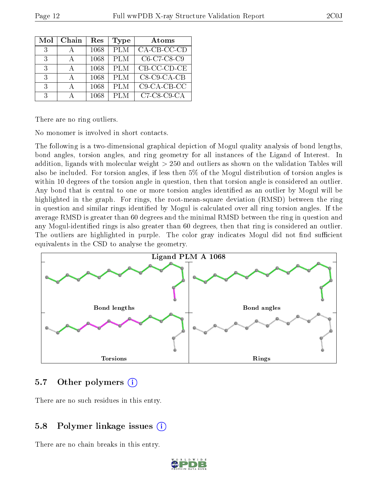| Mol           | Chain | $\operatorname{Res}% \left( \mathcal{N}\right) \equiv\operatorname{Res}(\mathcal{N}_{0})\cap\mathcal{N}_{1}$ | Type       | Atoms                     |
|---------------|-------|--------------------------------------------------------------------------------------------------------------|------------|---------------------------|
| 3             |       | 1068                                                                                                         | <b>PLM</b> | $CA$ - $CB$ - $CC$ - $CD$ |
| $\mathcal{R}$ |       | 1068                                                                                                         | <b>PLM</b> | C6-C7-C8-C9               |
| $\mathcal{R}$ |       | 1068                                                                                                         | <b>PLM</b> | CB-CC-CD-CE               |
| $\mathcal{R}$ |       | 1068                                                                                                         | <b>PLM</b> | $C8$ - $C9$ - $CA$ - $CB$ |
| 3             |       | 1068                                                                                                         | <b>PLM</b> | $C9$ -CA-CB-CC            |
| 3             |       | 1068                                                                                                         | PLM        | $C7-C8-C9-CA$             |

There are no ring outliers.

No monomer is involved in short contacts.

The following is a two-dimensional graphical depiction of Mogul quality analysis of bond lengths, bond angles, torsion angles, and ring geometry for all instances of the Ligand of Interest. In addition, ligands with molecular weight > 250 and outliers as shown on the validation Tables will also be included. For torsion angles, if less then 5% of the Mogul distribution of torsion angles is within 10 degrees of the torsion angle in question, then that torsion angle is considered an outlier. Any bond that is central to one or more torsion angles identified as an outlier by Mogul will be highlighted in the graph. For rings, the root-mean-square deviation (RMSD) between the ring in question and similar rings identified by Mogul is calculated over all ring torsion angles. If the average RMSD is greater than 60 degrees and the minimal RMSD between the ring in question and any Mogul-identied rings is also greater than 60 degrees, then that ring is considered an outlier. The outliers are highlighted in purple. The color gray indicates Mogul did not find sufficient equivalents in the CSD to analyse the geometry.



### 5.7 [O](https://www.wwpdb.org/validation/2017/XrayValidationReportHelp#nonstandard_residues_and_ligands)ther polymers (i)

There are no such residues in this entry.

### 5.8 Polymer linkage issues (i)

There are no chain breaks in this entry.